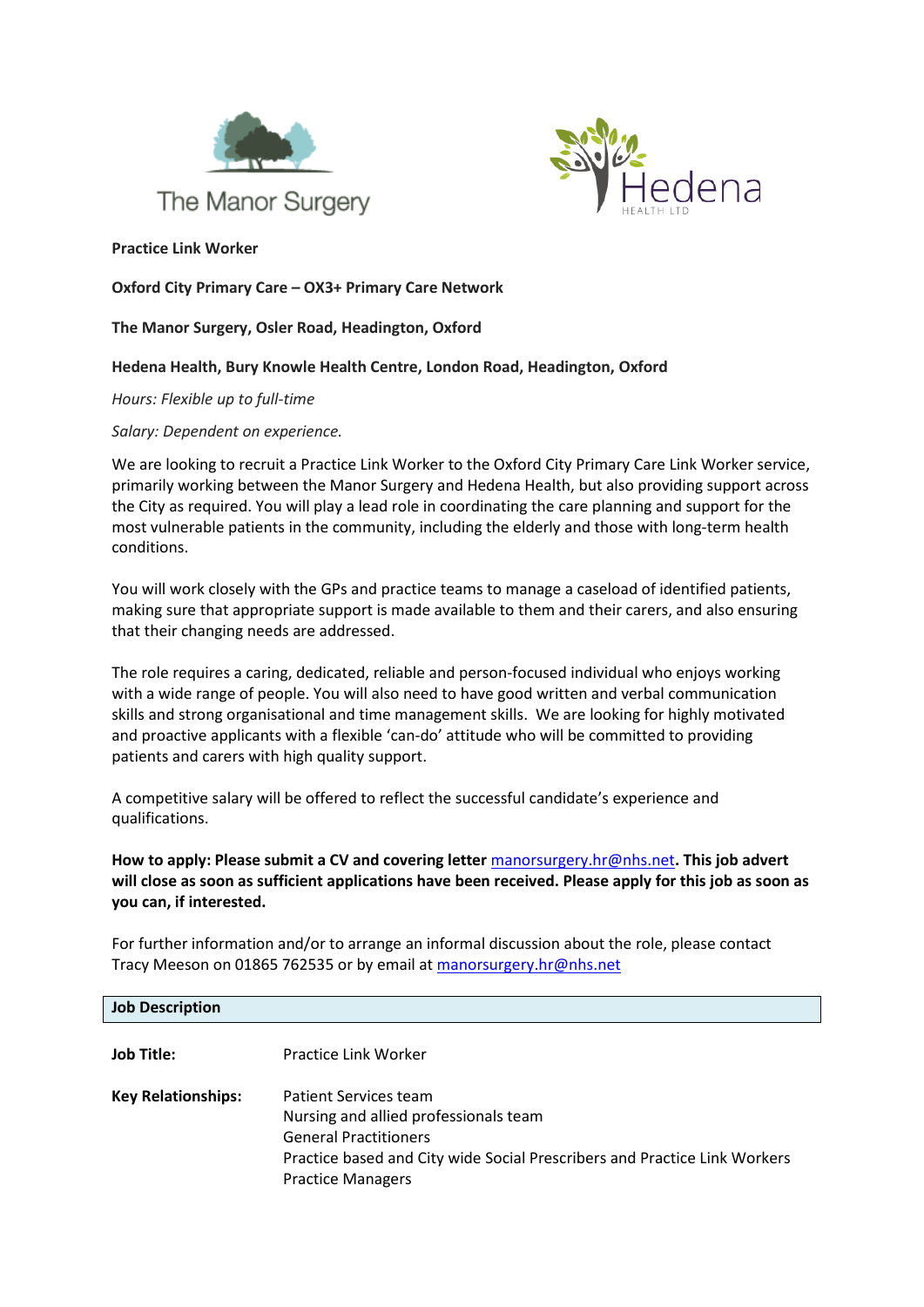



**Practice Link Worker**

**Oxford City Primary Care – OX3+ Primary Care Network** 

## **The Manor Surgery, Osler Road, Headington, Oxford**

## **Hedena Health, Bury Knowle Health Centre, London Road, Headington, Oxford**

*Hours: Flexible up to full-time*

*Salary: Dependent on experience.*

We are looking to recruit a Practice Link Worker to the Oxford City Primary Care Link Worker service, primarily working between the Manor Surgery and Hedena Health, but also providing support across the City as required. You will play a lead role in coordinating the care planning and support for the most vulnerable patients in the community, including the elderly and those with long-term health conditions.

You will work closely with the GPs and practice teams to manage a caseload of identified patients, making sure that appropriate support is made available to them and their carers, and also ensuring that their changing needs are addressed.

The role requires a caring, dedicated, reliable and person-focused individual who enjoys working with a wide range of people. You will also need to have good written and verbal communication skills and strong organisational and time management skills. We are looking for highly motivated and proactive applicants with a flexible 'can-do' attitude who will be committed to providing patients and carers with high quality support.

A competitive salary will be offered to reflect the successful candidate's experience and qualifications.

**How to apply: Please submit a CV and covering letter** [manorsurgery.hr@nhs.net](mailto:manorsurgery.hr@nhs.net)**. This job advert will close as soon as sufficient applications have been received. Please apply for this job as soon as you can, if interested.**

For further information and/or to arrange an informal discussion about the role, please contact Tracy Meeson on 01865 762535 or by email a[t manorsurgery.hr@nhs.net](mailto:manorsurgery.hr@nhs.net)

| <b>Job Description</b>    |                                                                                                                                                                                                         |
|---------------------------|---------------------------------------------------------------------------------------------------------------------------------------------------------------------------------------------------------|
| Job Title:                | Practice Link Worker                                                                                                                                                                                    |
| <b>Key Relationships:</b> | Patient Services team<br>Nursing and allied professionals team<br><b>General Practitioners</b><br>Practice based and City wide Social Prescribers and Practice Link Workers<br><b>Practice Managers</b> |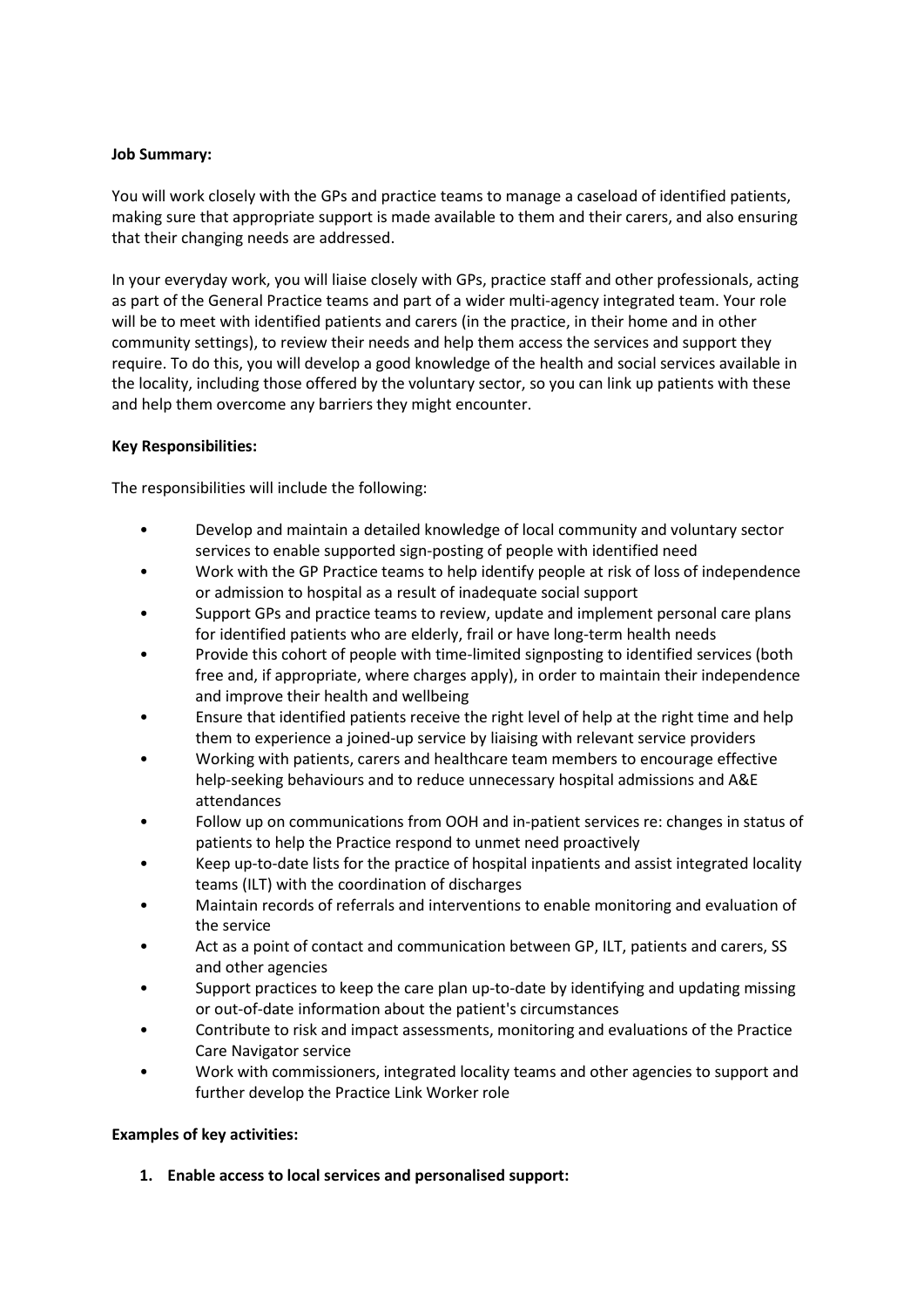## **Job Summary:**

You will work closely with the GPs and practice teams to manage a caseload of identified patients, making sure that appropriate support is made available to them and their carers, and also ensuring that their changing needs are addressed.

In your everyday work, you will liaise closely with GPs, practice staff and other professionals, acting as part of the General Practice teams and part of a wider multi-agency integrated team. Your role will be to meet with identified patients and carers (in the practice, in their home and in other community settings), to review their needs and help them access the services and support they require. To do this, you will develop a good knowledge of the health and social services available in the locality, including those offered by the voluntary sector, so you can link up patients with these and help them overcome any barriers they might encounter.

## **Key Responsibilities:**

The responsibilities will include the following:

- Develop and maintain a detailed knowledge of local community and voluntary sector services to enable supported sign-posting of people with identified need
- Work with the GP Practice teams to help identify people at risk of loss of independence or admission to hospital as a result of inadequate social support
- Support GPs and practice teams to review, update and implement personal care plans for identified patients who are elderly, frail or have long-term health needs
- Provide this cohort of people with time-limited signposting to identified services (both free and, if appropriate, where charges apply), in order to maintain their independence and improve their health and wellbeing
- Ensure that identified patients receive the right level of help at the right time and help them to experience a joined-up service by liaising with relevant service providers
- Working with patients, carers and healthcare team members to encourage effective help-seeking behaviours and to reduce unnecessary hospital admissions and A&E attendances
- Follow up on communications from OOH and in-patient services re: changes in status of patients to help the Practice respond to unmet need proactively
- Keep up-to-date lists for the practice of hospital inpatients and assist integrated locality teams (ILT) with the coordination of discharges
- Maintain records of referrals and interventions to enable monitoring and evaluation of the service
- Act as a point of contact and communication between GP, ILT, patients and carers, SS and other agencies
- Support practices to keep the care plan up-to-date by identifying and updating missing or out-of-date information about the patient's circumstances
- Contribute to risk and impact assessments, monitoring and evaluations of the Practice Care Navigator service
- Work with commissioners, integrated locality teams and other agencies to support and further develop the Practice Link Worker role

# **Examples of key activities:**

**1. Enable access to local services and personalised support:**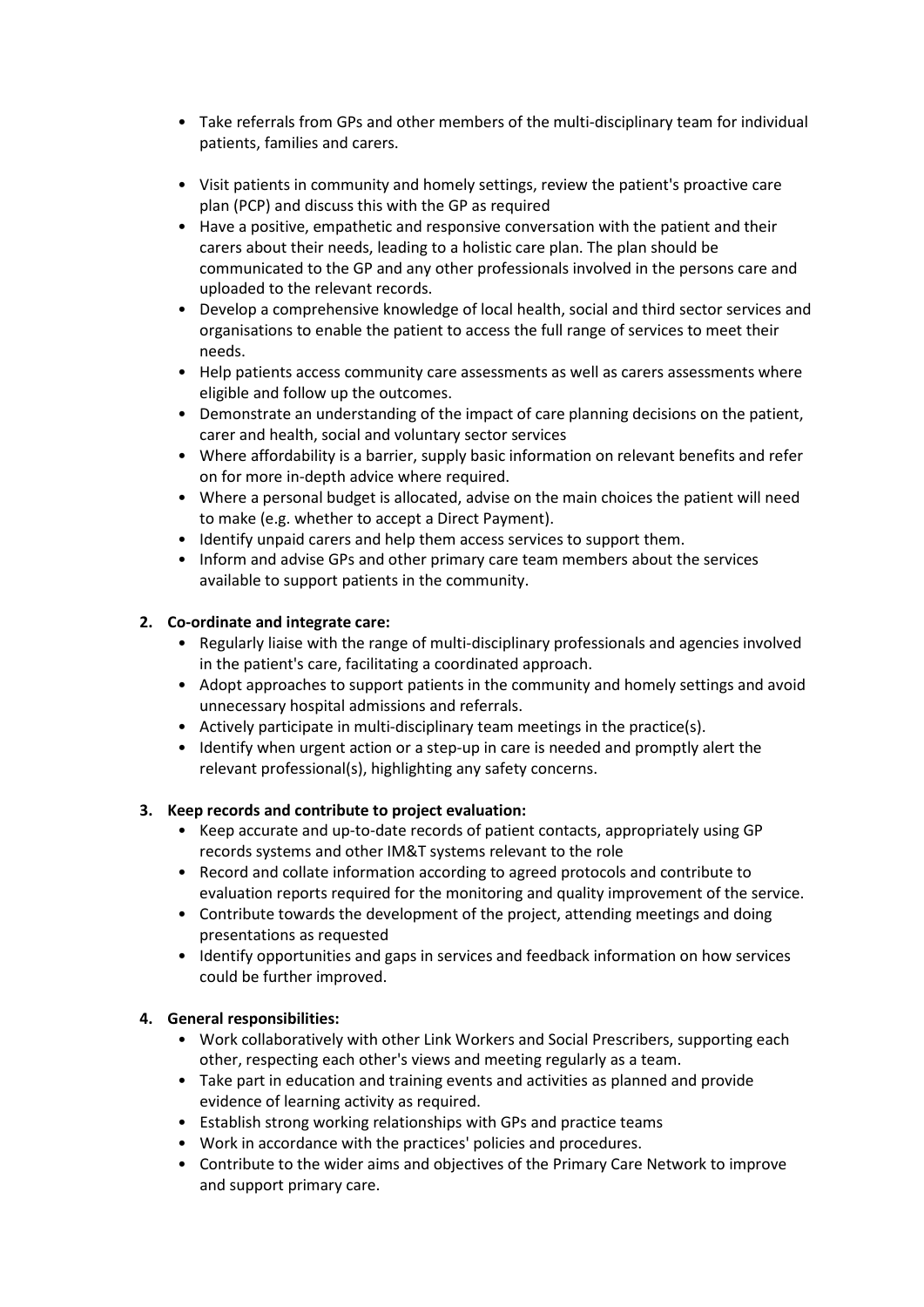- Take referrals from GPs and other members of the multi-disciplinary team for individual patients, families and carers.
- Visit patients in community and homely settings, review the patient's proactive care plan (PCP) and discuss this with the GP as required
- Have a positive, empathetic and responsive conversation with the patient and their carers about their needs, leading to a holistic care plan. The plan should be communicated to the GP and any other professionals involved in the persons care and uploaded to the relevant records.
- Develop a comprehensive knowledge of local health, social and third sector services and organisations to enable the patient to access the full range of services to meet their needs.
- Help patients access community care assessments as well as carers assessments where eligible and follow up the outcomes.
- Demonstrate an understanding of the impact of care planning decisions on the patient, carer and health, social and voluntary sector services
- Where affordability is a barrier, supply basic information on relevant benefits and refer on for more in-depth advice where required.
- Where a personal budget is allocated, advise on the main choices the patient will need to make (e.g. whether to accept a Direct Payment).
- Identify unpaid carers and help them access services to support them.
- Inform and advise GPs and other primary care team members about the services available to support patients in the community.

# **2. Co-ordinate and integrate care:**

- Regularly liaise with the range of multi-disciplinary professionals and agencies involved in the patient's care, facilitating a coordinated approach.
- Adopt approaches to support patients in the community and homely settings and avoid unnecessary hospital admissions and referrals.
- Actively participate in multi-disciplinary team meetings in the practice(s).
- Identify when urgent action or a step-up in care is needed and promptly alert the relevant professional(s), highlighting any safety concerns.

### **3. Keep records and contribute to project evaluation:**

- Keep accurate and up-to-date records of patient contacts, appropriately using GP records systems and other IM&T systems relevant to the role
- Record and collate information according to agreed protocols and contribute to evaluation reports required for the monitoring and quality improvement of the service.
- Contribute towards the development of the project, attending meetings and doing presentations as requested
- Identify opportunities and gaps in services and feedback information on how services could be further improved.

# **4. General responsibilities:**

- Work collaboratively with other Link Workers and Social Prescribers, supporting each other, respecting each other's views and meeting regularly as a team.
- Take part in education and training events and activities as planned and provide evidence of learning activity as required.
- Establish strong working relationships with GPs and practice teams
- Work in accordance with the practices' policies and procedures.
- Contribute to the wider aims and objectives of the Primary Care Network to improve and support primary care.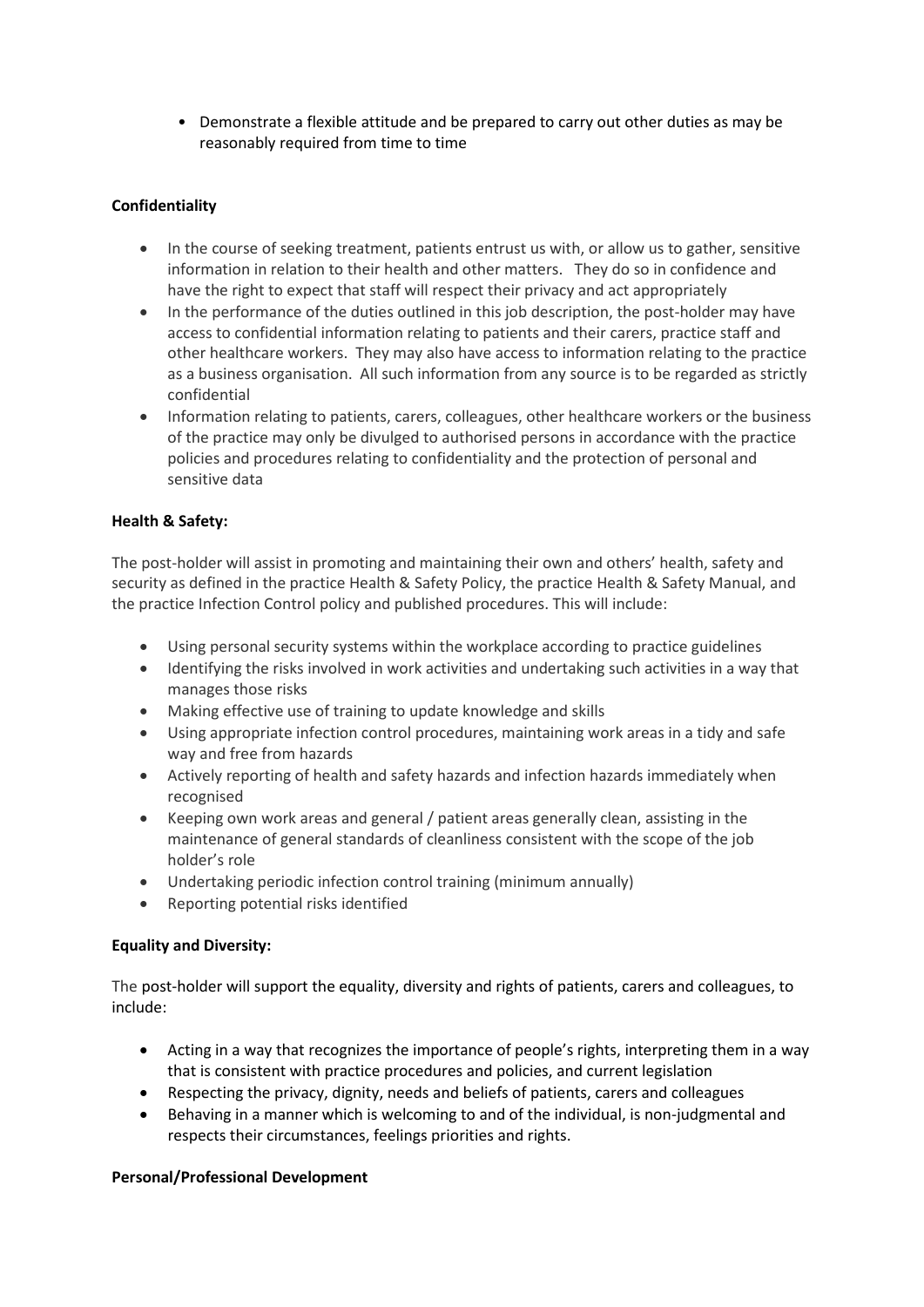• Demonstrate a flexible attitude and be prepared to carry out other duties as may be reasonably required from time to time

# **Confidentiality**

- In the course of seeking treatment, patients entrust us with, or allow us to gather, sensitive information in relation to their health and other matters. They do so in confidence and have the right to expect that staff will respect their privacy and act appropriately
- In the performance of the duties outlined in this job description, the post-holder may have access to confidential information relating to patients and their carers, practice staff and other healthcare workers. They may also have access to information relating to the practice as a business organisation. All such information from any source is to be regarded as strictly confidential
- Information relating to patients, carers, colleagues, other healthcare workers or the business of the practice may only be divulged to authorised persons in accordance with the practice policies and procedures relating to confidentiality and the protection of personal and sensitive data

# **Health & Safety:**

The post-holder will assist in promoting and maintaining their own and others' health, safety and security as defined in the practice Health & Safety Policy, the practice Health & Safety Manual, and the practice Infection Control policy and published procedures. This will include:

- Using personal security systems within the workplace according to practice guidelines
- Identifying the risks involved in work activities and undertaking such activities in a way that manages those risks
- Making effective use of training to update knowledge and skills
- Using appropriate infection control procedures, maintaining work areas in a tidy and safe way and free from hazards
- Actively reporting of health and safety hazards and infection hazards immediately when recognised
- Keeping own work areas and general / patient areas generally clean, assisting in the maintenance of general standards of cleanliness consistent with the scope of the job holder's role
- Undertaking periodic infection control training (minimum annually)
- Reporting potential risks identified

# **Equality and Diversity:**

The post-holder will support the equality, diversity and rights of patients, carers and colleagues, to include:

- Acting in a way that recognizes the importance of people's rights, interpreting them in a way that is consistent with practice procedures and policies, and current legislation
- Respecting the privacy, dignity, needs and beliefs of patients, carers and colleagues
- Behaving in a manner which is welcoming to and of the individual, is non-judgmental and respects their circumstances, feelings priorities and rights.

# **Personal/Professional Development**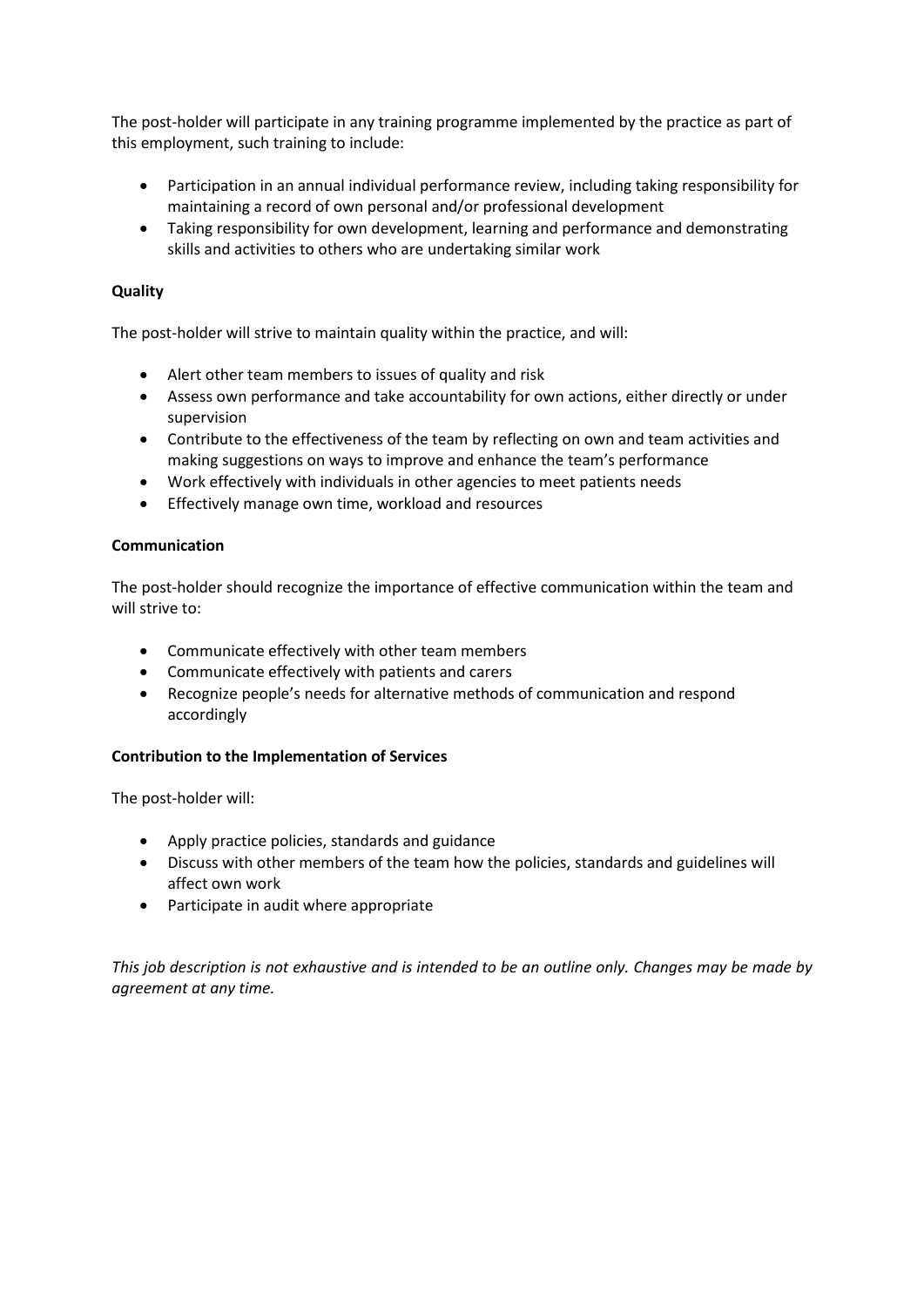The post-holder will participate in any training programme implemented by the practice as part of this employment, such training to include:

- Participation in an annual individual performance review, including taking responsibility for maintaining a record of own personal and/or professional development
- Taking responsibility for own development, learning and performance and demonstrating skills and activities to others who are undertaking similar work

## **Quality**

The post-holder will strive to maintain quality within the practice, and will:

- Alert other team members to issues of quality and risk
- Assess own performance and take accountability for own actions, either directly or under supervision
- Contribute to the effectiveness of the team by reflecting on own and team activities and making suggestions on ways to improve and enhance the team's performance
- Work effectively with individuals in other agencies to meet patients needs
- Effectively manage own time, workload and resources

### **Communication**

The post-holder should recognize the importance of effective communication within the team and will strive to:

- Communicate effectively with other team members
- Communicate effectively with patients and carers
- Recognize people's needs for alternative methods of communication and respond accordingly

### **Contribution to the Implementation of Services**

The post-holder will:

- Apply practice policies, standards and guidance
- Discuss with other members of the team how the policies, standards and guidelines will affect own work
- Participate in audit where appropriate

*This job description is not exhaustive and is intended to be an outline only. Changes may be made by agreement at any time.*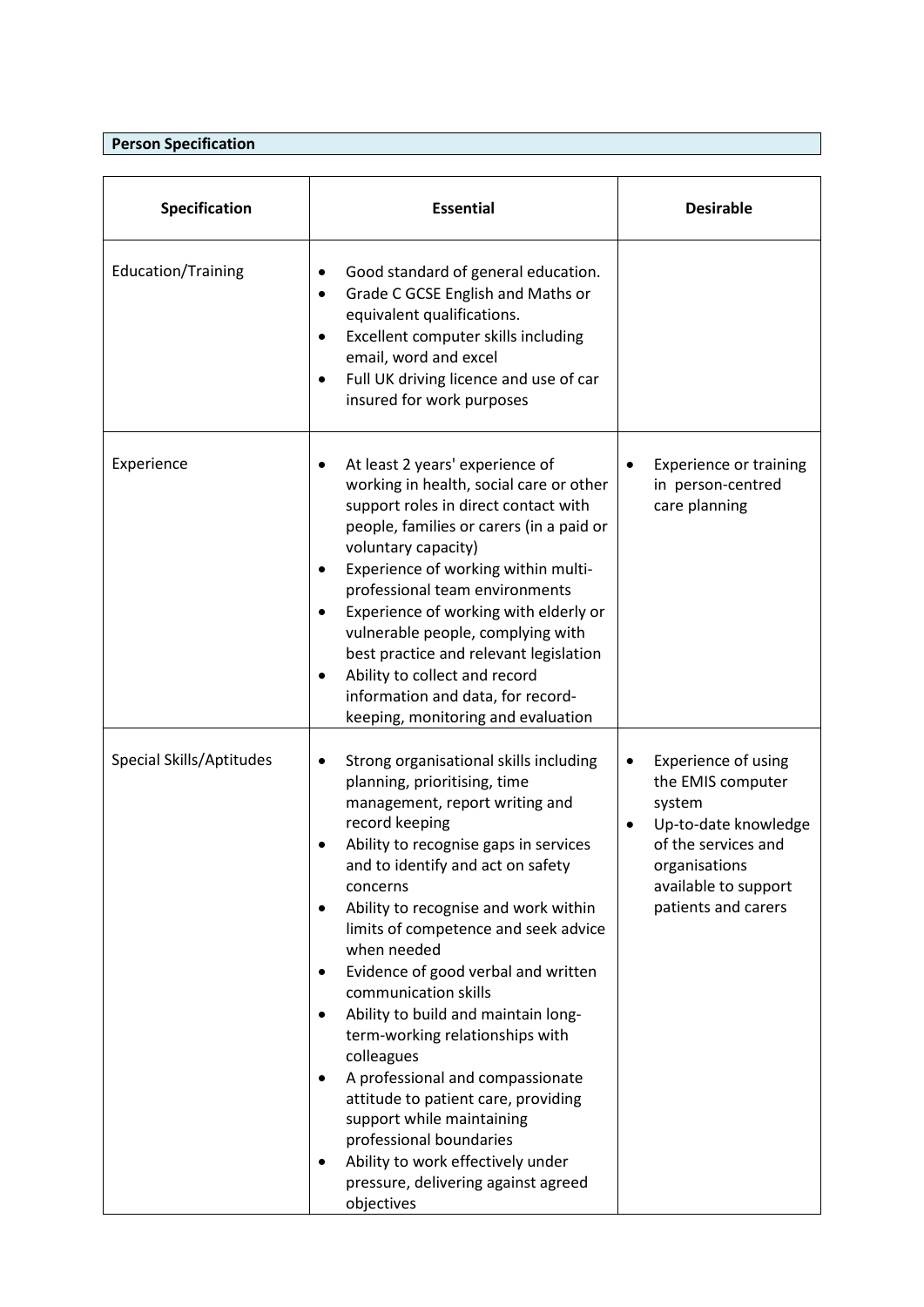# **Person Specification**

| Specification            | <b>Essential</b>                                                                                                                                                                                                                                                                                                                                                                                                                                                                                                                                                                                                                                                                                                                                         | <b>Desirable</b>                                                                                                                                                               |
|--------------------------|----------------------------------------------------------------------------------------------------------------------------------------------------------------------------------------------------------------------------------------------------------------------------------------------------------------------------------------------------------------------------------------------------------------------------------------------------------------------------------------------------------------------------------------------------------------------------------------------------------------------------------------------------------------------------------------------------------------------------------------------------------|--------------------------------------------------------------------------------------------------------------------------------------------------------------------------------|
| Education/Training       | Good standard of general education.<br>$\bullet$<br>Grade C GCSE English and Maths or<br>$\bullet$<br>equivalent qualifications.<br>Excellent computer skills including<br>$\bullet$<br>email, word and excel<br>Full UK driving licence and use of car<br>٠<br>insured for work purposes                                                                                                                                                                                                                                                                                                                                                                                                                                                                |                                                                                                                                                                                |
| Experience               | At least 2 years' experience of<br>working in health, social care or other<br>support roles in direct contact with<br>people, families or carers (in a paid or<br>voluntary capacity)<br>Experience of working within multi-<br>professional team environments<br>Experience of working with elderly or<br>vulnerable people, complying with<br>best practice and relevant legislation<br>Ability to collect and record<br>$\bullet$<br>information and data, for record-<br>keeping, monitoring and evaluation                                                                                                                                                                                                                                          | <b>Experience or training</b><br>in person-centred<br>care planning                                                                                                            |
| Special Skills/Aptitudes | Strong organisational skills including<br>planning, prioritising, time<br>management, report writing and<br>record keeping<br>Ability to recognise gaps in services<br>and to identify and act on safety<br>concerns<br>Ability to recognise and work within<br>$\bullet$<br>limits of competence and seek advice<br>when needed<br>Evidence of good verbal and written<br>$\bullet$<br>communication skills<br>Ability to build and maintain long-<br>$\bullet$<br>term-working relationships with<br>colleagues<br>A professional and compassionate<br>٠<br>attitude to patient care, providing<br>support while maintaining<br>professional boundaries<br>Ability to work effectively under<br>٠<br>pressure, delivering against agreed<br>objectives | Experience of using<br>the EMIS computer<br>system<br>Up-to-date knowledge<br>$\bullet$<br>of the services and<br>organisations<br>available to support<br>patients and carers |